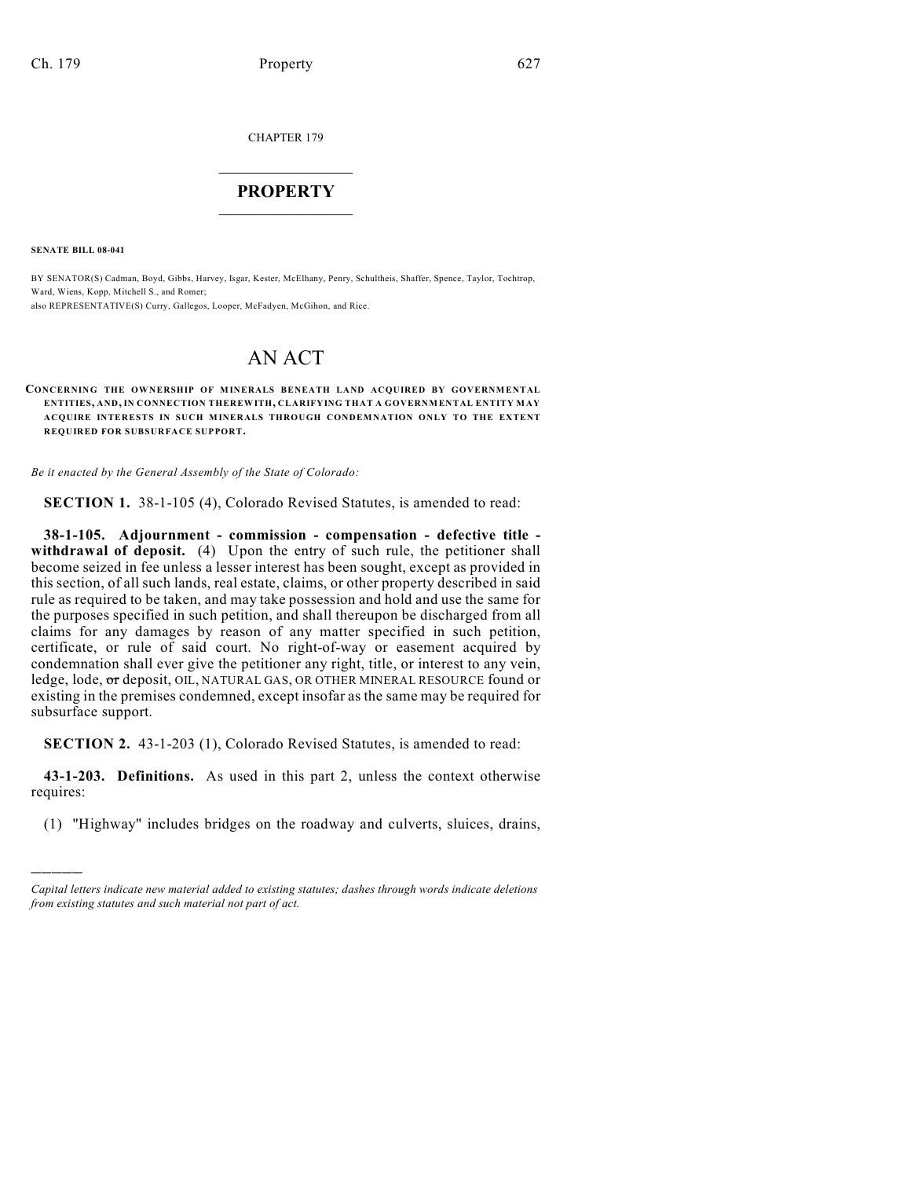CHAPTER 179

## $\overline{\phantom{a}}$  . The set of the set of the set of the set of the set of the set of the set of the set of the set of the set of the set of the set of the set of the set of the set of the set of the set of the set of the set o **PROPERTY**  $\_$   $\_$   $\_$   $\_$   $\_$   $\_$   $\_$   $\_$   $\_$

**SENATE BILL 08-041**

)))))

BY SENATOR(S) Cadman, Boyd, Gibbs, Harvey, Isgar, Kester, McElhany, Penry, Schultheis, Shaffer, Spence, Taylor, Tochtrop, Ward, Wiens, Kopp, Mitchell S., and Romer; also REPRESENTATIVE(S) Curry, Gallegos, Looper, McFadyen, McGihon, and Rice.

## AN ACT

**CONCERNING THE OWNERSHIP OF MINERALS BENEATH LAND ACQUIRED BY GOVERNMENTAL ENTITIES, AND, IN CONNECTION THEREWITH, CLARIFYING THAT A GOVERNMENTAL ENTITY MAY ACQUIRE INTERESTS IN SUCH MINERALS THROUGH CONDEMNATION ONLY TO THE EXTENT REQUIRED FOR SUBSURFACE SUPPORT.**

*Be it enacted by the General Assembly of the State of Colorado:*

**SECTION 1.** 38-1-105 (4), Colorado Revised Statutes, is amended to read:

**38-1-105. Adjournment - commission - compensation - defective title**  withdrawal of deposit. (4) Upon the entry of such rule, the petitioner shall become seized in fee unless a lesser interest has been sought, except as provided in this section, of all such lands, real estate, claims, or other property described in said rule as required to be taken, and may take possession and hold and use the same for the purposes specified in such petition, and shall thereupon be discharged from all claims for any damages by reason of any matter specified in such petition, certificate, or rule of said court. No right-of-way or easement acquired by condemnation shall ever give the petitioner any right, title, or interest to any vein, ledge, lode, or deposit, OIL, NATURAL GAS, OR OTHER MINERAL RESOURCE found or existing in the premises condemned, except insofar as the same may be required for subsurface support.

**SECTION 2.** 43-1-203 (1), Colorado Revised Statutes, is amended to read:

**43-1-203. Definitions.** As used in this part 2, unless the context otherwise requires:

(1) "Highway" includes bridges on the roadway and culverts, sluices, drains,

*Capital letters indicate new material added to existing statutes; dashes through words indicate deletions from existing statutes and such material not part of act.*